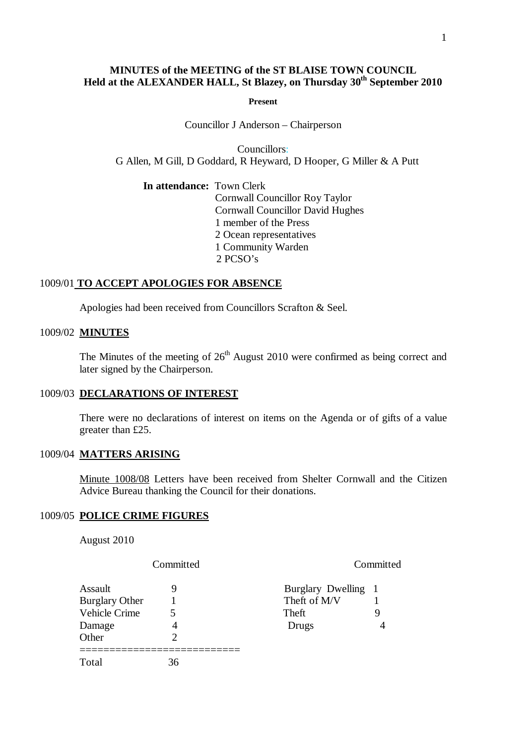# **MINUTES of the MEETING of the ST BLAISE TOWN COUNCIL Held at the ALEXANDER HALL, St Blazey, on Thursday 30th September 2010**

**Present**

Councillor J Anderson – Chairperson

Councillors: G Allen, M Gill, D Goddard, R Heyward, D Hooper, G Miller & A Putt

## **In attendance:** Town Clerk

 Cornwall Councillor Roy Taylor Cornwall Councillor David Hughes 1 member of the Press 2 Ocean representatives 1 Community Warden 2 PCSO's

## 1009/01 **TO ACCEPT APOLOGIES FOR ABSENCE**

Apologies had been received from Councillors Scrafton & Seel.

#### 1009/02 **MINUTES**

The Minutes of the meeting of  $26<sup>th</sup>$  August 2010 were confirmed as being correct and later signed by the Chairperson.

## 1009/03 **DECLARATIONS OF INTEREST**

There were no declarations of interest on items on the Agenda or of gifts of a value greater than £25.

#### 1009/04 **MATTERS ARISING**

Minute 1008/08 Letters have been received from Shelter Cornwall and the Citizen Advice Bureau thanking the Council for their donations.

## 1009/05 **POLICE CRIME FIGURES**

August 2010

Committed Committed

| Assault               |    | Burglary Dwelling 1 |   |
|-----------------------|----|---------------------|---|
| <b>Burglary Other</b> |    | Theft of M/V        |   |
| <b>Vehicle Crime</b>  |    | Theft               |   |
| Damage                |    | Drugs               | Δ |
| Other                 |    |                     |   |
| Total                 | 36 |                     |   |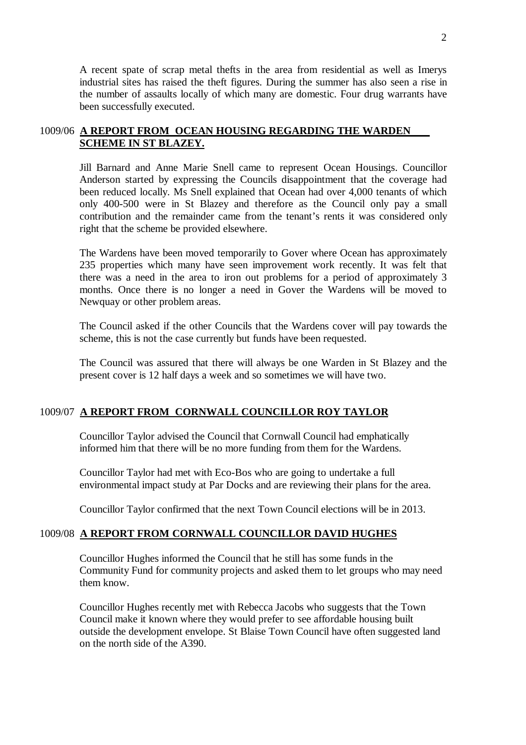A recent spate of scrap metal thefts in the area from residential as well as Imerys industrial sites has raised the theft figures. During the summer has also seen a rise in the number of assaults locally of which many are domestic. Four drug warrants have been successfully executed.

# 1009/06 **A REPORT FROM OCEAN HOUSING REGARDING THE WARDEN SCHEME IN ST BLAZEY.**

Jill Barnard and Anne Marie Snell came to represent Ocean Housings. Councillor Anderson started by expressing the Councils disappointment that the coverage had been reduced locally. Ms Snell explained that Ocean had over 4,000 tenants of which only 400-500 were in St Blazey and therefore as the Council only pay a small contribution and the remainder came from the tenant's rents it was considered only right that the scheme be provided elsewhere.

The Wardens have been moved temporarily to Gover where Ocean has approximately 235 properties which many have seen improvement work recently. It was felt that there was a need in the area to iron out problems for a period of approximately 3 months. Once there is no longer a need in Gover the Wardens will be moved to Newquay or other problem areas.

The Council asked if the other Councils that the Wardens cover will pay towards the scheme, this is not the case currently but funds have been requested.

The Council was assured that there will always be one Warden in St Blazey and the present cover is 12 half days a week and so sometimes we will have two.

## 1009/07 **A REPORT FROM CORNWALL COUNCILLOR ROY TAYLOR**

Councillor Taylor advised the Council that Cornwall Council had emphatically informed him that there will be no more funding from them for the Wardens.

Councillor Taylor had met with Eco-Bos who are going to undertake a full environmental impact study at Par Docks and are reviewing their plans for the area.

Councillor Taylor confirmed that the next Town Council elections will be in 2013.

## 1009/08 **A REPORT FROM CORNWALL COUNCILLOR DAVID HUGHES**

Councillor Hughes informed the Council that he still has some funds in the Community Fund for community projects and asked them to let groups who may need them know.

Councillor Hughes recently met with Rebecca Jacobs who suggests that the Town Council make it known where they would prefer to see affordable housing built outside the development envelope. St Blaise Town Council have often suggested land on the north side of the A390.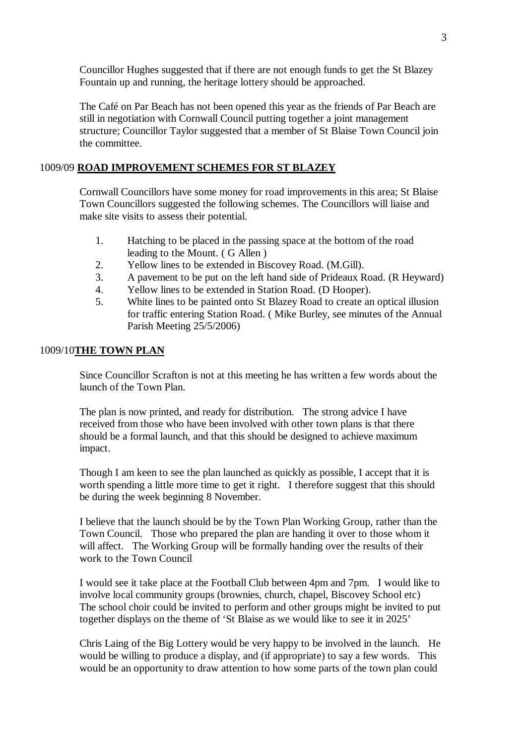Councillor Hughes suggested that if there are not enough funds to get the St Blazey Fountain up and running, the heritage lottery should be approached.

The Café on Par Beach has not been opened this year as the friends of Par Beach are still in negotiation with Cornwall Council putting together a joint management structure; Councillor Taylor suggested that a member of St Blaise Town Council join the committee.

### 1009/09 **ROAD IMPROVEMENT SCHEMES FOR ST BLAZEY**

Cornwall Councillors have some money for road improvements in this area; St Blaise Town Councillors suggested the following schemes. The Councillors will liaise and make site visits to assess their potential.

- 1. Hatching to be placed in the passing space at the bottom of the road leading to the Mount. ( G Allen )
- 2. Yellow lines to be extended in Biscovey Road. (M.Gill).
- 3. A pavement to be put on the left hand side of Prideaux Road. (R Heyward)
- 4. Yellow lines to be extended in Station Road. (D Hooper).
- 5. White lines to be painted onto St Blazey Road to create an optical illusion for traffic entering Station Road. ( Mike Burley, see minutes of the Annual Parish Meeting 25/5/2006)

#### 1009/10**THE TOWN PLAN**

Since Councillor Scrafton is not at this meeting he has written a few words about the launch of the Town Plan.

The plan is now printed, and ready for distribution. The strong advice I have received from those who have been involved with other town plans is that there should be a formal launch, and that this should be designed to achieve maximum impact.

Though I am keen to see the plan launched as quickly as possible, I accept that it is worth spending a little more time to get it right. I therefore suggest that this should be during the week beginning 8 November.

I believe that the launch should be by the Town Plan Working Group, rather than the Town Council. Those who prepared the plan are handing it over to those whom it will affect. The Working Group will be formally handing over the results of their work to the Town Council

I would see it take place at the Football Club between 4pm and 7pm. I would like to involve local community groups (brownies, church, chapel, Biscovey School etc) The school choir could be invited to perform and other groups might be invited to put together displays on the theme of 'St Blaise as we would like to see it in 2025'

Chris Laing of the Big Lottery would be very happy to be involved in the launch. He would be willing to produce a display, and (if appropriate) to say a few words. This would be an opportunity to draw attention to how some parts of the town plan could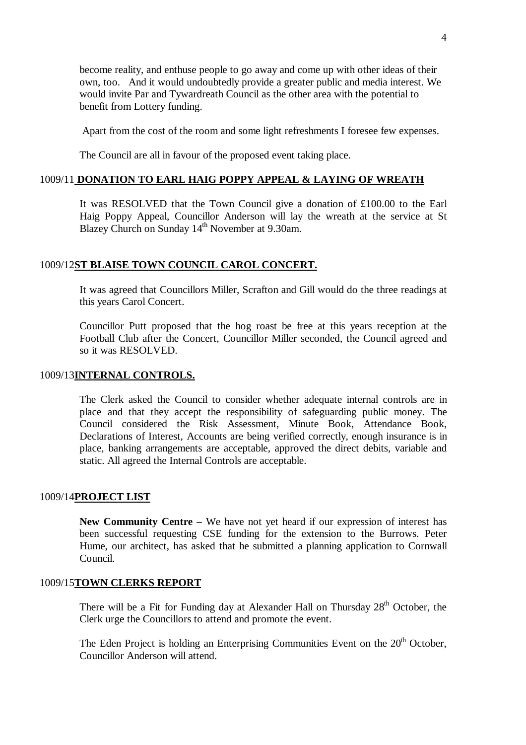become reality, and enthuse people to go away and come up with other ideas of their own, too. And it would undoubtedly provide a greater public and media interest. We would invite Par and Tywardreath Council as the other area with the potential to benefit from Lottery funding.

Apart from the cost of the room and some light refreshments I foresee few expenses.

The Council are all in favour of the proposed event taking place.

## 1009/11 **DONATION TO EARL HAIG POPPY APPEAL & LAYING OF WREATH**

It was RESOLVED that the Town Council give a donation of £100.00 to the Earl Haig Poppy Appeal, Councillor Anderson will lay the wreath at the service at St Blazey Church on Sunday 14<sup>th</sup> November at 9.30am.

#### 1009/12**ST BLAISE TOWN COUNCIL CAROL CONCERT.**

It was agreed that Councillors Miller, Scrafton and Gill would do the three readings at this years Carol Concert.

Councillor Putt proposed that the hog roast be free at this years reception at the Football Club after the Concert, Councillor Miller seconded, the Council agreed and so it was RESOLVED.

#### 1009/13**INTERNAL CONTROLS.**

The Clerk asked the Council to consider whether adequate internal controls are in place and that they accept the responsibility of safeguarding public money. The Council considered the Risk Assessment, Minute Book, Attendance Book, Declarations of Interest, Accounts are being verified correctly, enough insurance is in place, banking arrangements are acceptable, approved the direct debits, variable and static. All agreed the Internal Controls are acceptable.

#### 1009/14**PROJECT LIST**

**New Community Centre –** We have not yet heard if our expression of interest has been successful requesting CSE funding for the extension to the Burrows. Peter Hume, our architect, has asked that he submitted a planning application to Cornwall Council.

# 1009/15**TOWN CLERKS REPORT**

There will be a Fit for Funding day at Alexander Hall on Thursday  $28<sup>th</sup>$  October, the Clerk urge the Councillors to attend and promote the event.

The Eden Project is holding an Enterprising Communities Event on the  $20<sup>th</sup>$  October, Councillor Anderson will attend.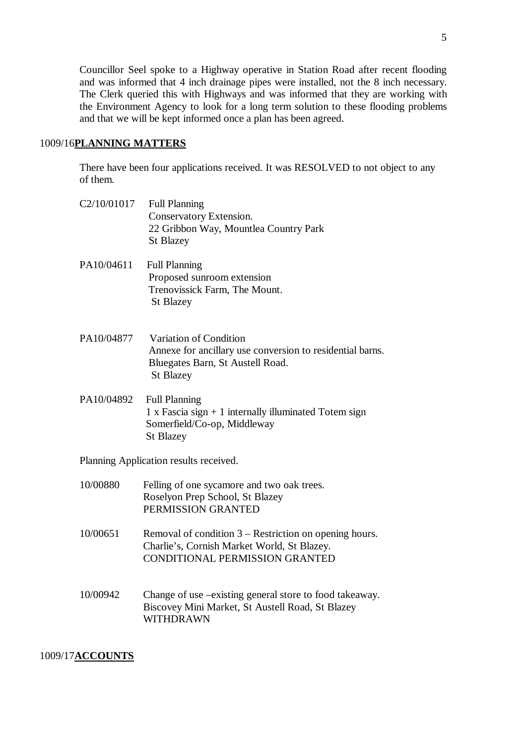Councillor Seel spoke to a Highway operative in Station Road after recent flooding and was informed that 4 inch drainage pipes were installed, not the 8 inch necessary. The Clerk queried this with Highways and was informed that they are working with the Environment Agency to look for a long term solution to these flooding problems and that we will be kept informed once a plan has been agreed.

### 1009/16**PLANNING MATTERS**

There have been four applications received. It was RESOLVED to not object to any of them.

|            | C2/10/01017 Full Planning<br>Conservatory Extension.<br>22 Gribbon Way, Mountlea Country Park<br><b>St Blazey</b>                           |
|------------|---------------------------------------------------------------------------------------------------------------------------------------------|
| PA10/04611 | <b>Full Planning</b><br>Proposed sunroom extension<br>Trenovissick Farm, The Mount.<br><b>St Blazey</b>                                     |
| PA10/04877 | Variation of Condition<br>Annexe for ancillary use conversion to residential barns.<br>Bluegates Barn, St Austell Road.<br><b>St Blazey</b> |
| PA10/04892 | <b>Full Planning</b><br>1 x Fascia sign $+$ 1 internally illuminated Totem sign<br>Somerfield/Co-op, Middleway<br><b>St Blazey</b>          |
|            | Planning Application results received.                                                                                                      |
| 10/00880   | Felling of one sycamore and two oak trees.<br>Roselyon Prep School, St Blazey<br>PERMISSION GRANTED                                         |
| 10/00651   | Removal of condition $3$ – Restriction on opening hours.<br>Charlie's, Cornish Market World, St Blazey.                                     |

10/00942 Change of use –existing general store to food takeaway. Biscovey Mini Market, St Austell Road, St Blazey WITHDRAWN

CONDITIONAL PERMISSION GRANTED

## 1009/17**ACCOUNTS**